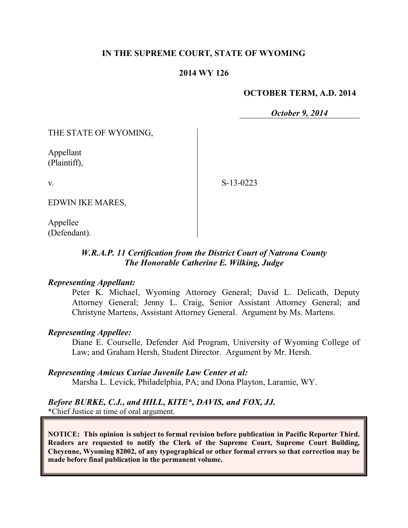### **IN THE SUPREME COURT, STATE OF WYOMING**

### **2014 WY 126**

### **OCTOBER TERM, A.D. 2014**

*October 9, 2014*

THE STATE OF WYOMING,

Appellant (Plaintiff),

v.

S-13-0223

EDWIN IKE MARES,

Appellee (Defendant).

## *W.R.A.P. 11 Certification from the District Court of Natrona County The Honorable Catherine E. Wilking, Judge*

### *Representing Appellant:*

Peter K. Michael, Wyoming Attorney General; David L. Delicath, Deputy Attorney General; Jenny L. Craig, Senior Assistant Attorney General; and Christyne Martens, Assistant Attorney General. Argument by Ms. Martens.

### *Representing Appellee:*

Diane E. Courselle, Defender Aid Program, University of Wyoming College of Law; and Graham Hersh, Student Director. Argument by Mr. Hersh.

*Representing Amicus Curiae Juvenile Law Center et al:*

Marsha L. Levick, Philadelphia, PA; and Dona Playton, Laramie, WY.

#### *Before BURKE, C.J., and HILL, KITE\*, DAVIS, and FOX, JJ.* \*Chief Justice at time of oral argument.

**NOTICE: This opinion is subject to formal revision before publication in Pacific Reporter Third. Readers are requested to notify the Clerk of the Supreme Court, Supreme Court Building, Cheyenne, Wyoming 82002, of any typographical or other formal errors so that correction may be made before final publication in the permanent volume.**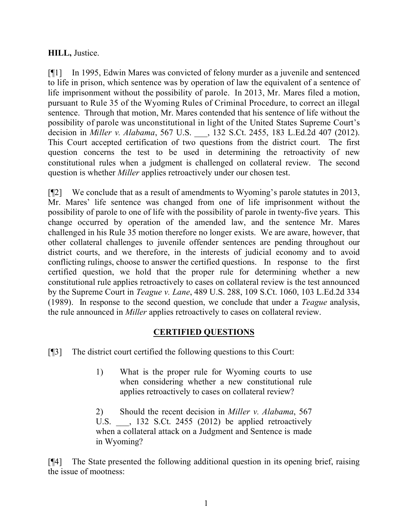## **HILL,** Justice.

[¶1] In 1995, Edwin Mares was convicted of felony murder as a juvenile and sentenced to life in prison, which sentence was by operation of law the equivalent of a sentence of life imprisonment without the possibility of parole. In 2013, Mr. Mares filed a motion, pursuant to Rule 35 of the Wyoming Rules of Criminal Procedure, to correct an illegal sentence. Through that motion, Mr. Mares contended that his sentence of life without the possibility of parole was unconstitutional in light of the United States Supreme Court's decision in *Miller v. Alabama*, 567 U.S. \_\_\_, 132 S.Ct. 2455, 183 L.Ed.2d 407 (2012). This Court accepted certification of two questions from the district court. The first question concerns the test to be used in determining the retroactivity of new constitutional rules when a judgment is challenged on collateral review. The second question is whether *Miller* applies retroactively under our chosen test.

[¶2] We conclude that as a result of amendments to Wyoming's parole statutes in 2013, Mr. Mares' life sentence was changed from one of life imprisonment without the possibility of parole to one of life with the possibility of parole in twenty-five years. This change occurred by operation of the amended law, and the sentence Mr. Mares challenged in his Rule 35 motion therefore no longer exists. We are aware, however, that other collateral challenges to juvenile offender sentences are pending throughout our district courts, and we therefore, in the interests of judicial economy and to avoid conflicting rulings, choose to answer the certified questions. In response to the first certified question, we hold that the proper rule for determining whether a new constitutional rule applies retroactively to cases on collateral review is the test announced by the Supreme Court in *Teague v. Lane*, 489 U.S. 288, 109 S.Ct. 1060, 103 L.Ed.2d 334 (1989). In response to the second question, we conclude that under a *Teague* analysis, the rule announced in *Miller* applies retroactively to cases on collateral review.

# **CERTIFIED QUESTIONS**

[¶3] The district court certified the following questions to this Court:

1) What is the proper rule for Wyoming courts to use when considering whether a new constitutional rule applies retroactively to cases on collateral review?

2) Should the recent decision in *Miller v. Alabama*, 567 U.S. \_\_\_, 132 S.Ct. 2455 (2012) be applied retroactively when a collateral attack on a Judgment and Sentence is made in Wyoming?

[¶4] The State presented the following additional question in its opening brief, raising the issue of mootness: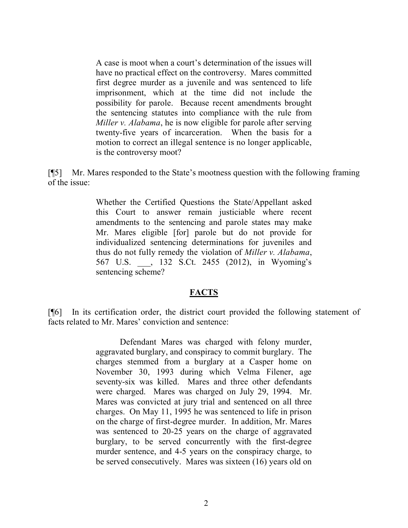A case is moot when a court's determination of the issues will have no practical effect on the controversy. Mares committed first degree murder as a juvenile and was sentenced to life imprisonment, which at the time did not include the possibility for parole. Because recent amendments brought the sentencing statutes into compliance with the rule from *Miller v. Alabama*, he is now eligible for parole after serving twenty-five years of incarceration. When the basis for a motion to correct an illegal sentence is no longer applicable, is the controversy moot?

[¶5] Mr. Mares responded to the State's mootness question with the following framing of the issue:

> Whether the Certified Questions the State/Appellant asked this Court to answer remain justiciable where recent amendments to the sentencing and parole states may make Mr. Mares eligible [for] parole but do not provide for individualized sentencing determinations for juveniles and thus do not fully remedy the violation of *Miller v. Alabama*, 567 U.S. \_\_\_, 132 S.Ct. 2455 (2012), in Wyoming's sentencing scheme?

### **FACTS**

[¶6] In its certification order, the district court provided the following statement of facts related to Mr. Mares' conviction and sentence:

> Defendant Mares was charged with felony murder, aggravated burglary, and conspiracy to commit burglary. The charges stemmed from a burglary at a Casper home on November 30, 1993 during which Velma Filener, age seventy-six was killed. Mares and three other defendants were charged. Mares was charged on July 29, 1994. Mr. Mares was convicted at jury trial and sentenced on all three charges. On May 11, 1995 he was sentenced to life in prison on the charge of first-degree murder. In addition, Mr. Mares was sentenced to 20-25 years on the charge of aggravated burglary, to be served concurrently with the first-degree murder sentence, and 4-5 years on the conspiracy charge, to be served consecutively. Mares was sixteen (16) years old on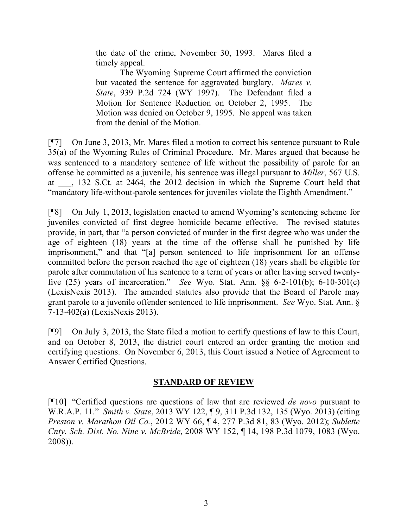the date of the crime, November 30, 1993. Mares filed a timely appeal.

The Wyoming Supreme Court affirmed the conviction but vacated the sentence for aggravated burglary. *Mares v. State*, 939 P.2d 724 (WY 1997). The Defendant filed a Motion for Sentence Reduction on October 2, 1995. The Motion was denied on October 9, 1995. No appeal was taken from the denial of the Motion.

[¶7] On June 3, 2013, Mr. Mares filed a motion to correct his sentence pursuant to Rule 35(a) of the Wyoming Rules of Criminal Procedure. Mr. Mares argued that because he was sentenced to a mandatory sentence of life without the possibility of parole for an offense he committed as a juvenile, his sentence was illegal pursuant to *Miller*, 567 U.S. at \_\_\_, 132 S.Ct. at 2464, the 2012 decision in which the Supreme Court held that "mandatory life-without-parole sentences for juveniles violate the Eighth Amendment."

[¶8] On July 1, 2013, legislation enacted to amend Wyoming's sentencing scheme for juveniles convicted of first degree homicide became effective. The revised statutes provide, in part, that "a person convicted of murder in the first degree who was under the age of eighteen (18) years at the time of the offense shall be punished by life imprisonment," and that "[a] person sentenced to life imprisonment for an offense committed before the person reached the age of eighteen (18) years shall be eligible for parole after commutation of his sentence to a term of years or after having served twentyfive (25) years of incarceration." *See* Wyo. Stat. Ann. §§ 6-2-101(b); 6-10-301(c) (LexisNexis 2013). The amended statutes also provide that the Board of Parole may grant parole to a juvenile offender sentenced to life imprisonment. *See* Wyo. Stat. Ann. § 7-13-402(a) (LexisNexis 2013).

[¶9] On July 3, 2013, the State filed a motion to certify questions of law to this Court, and on October 8, 2013, the district court entered an order granting the motion and certifying questions. On November 6, 2013, this Court issued a Notice of Agreement to Answer Certified Questions.

### **STANDARD OF REVIEW**

[¶10] "Certified questions are questions of law that are reviewed *de novo* pursuant to W.R.A.P. 11." *Smith v. State*, 2013 WY 122, ¶ 9, 311 P.3d 132, 135 (Wyo. 2013) (citing *Preston v. Marathon Oil Co.*, 2012 WY 66, ¶ 4, 277 P.3d 81, 83 (Wyo. 2012); *Sublette Cnty. Sch. Dist. No. Nine v. McBride*, 2008 WY 152, ¶ 14, 198 P.3d 1079, 1083 (Wyo. 2008)).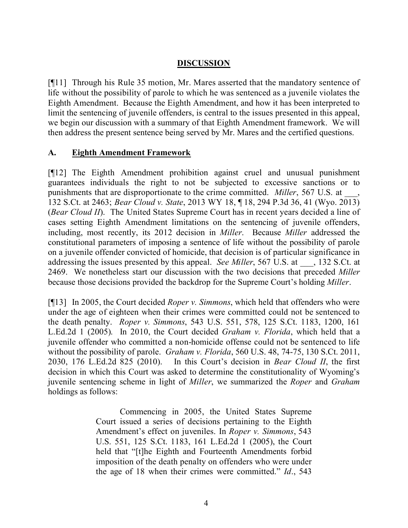## **DISCUSSION**

[¶11] Through his Rule 35 motion, Mr. Mares asserted that the mandatory sentence of life without the possibility of parole to which he was sentenced as a juvenile violates the Eighth Amendment. Because the Eighth Amendment, and how it has been interpreted to limit the sentencing of juvenile offenders, is central to the issues presented in this appeal, we begin our discussion with a summary of that Eighth Amendment framework. We will then address the present sentence being served by Mr. Mares and the certified questions.

## **A. Eighth Amendment Framework**

[¶12] The Eighth Amendment prohibition against cruel and unusual punishment guarantees individuals the right to not be subjected to excessive sanctions or to punishments that are disproportionate to the crime committed. *Miller*, 567 U.S. at \_\_\_, 132 S.Ct. at 2463; *Bear Cloud v. State*, 2013 WY 18, ¶ 18, 294 P.3d 36, 41 (Wyo. 2013) (*Bear Cloud II*). The United States Supreme Court has in recent years decided a line of cases setting Eighth Amendment limitations on the sentencing of juvenile offenders, including, most recently, its 2012 decision in *Miller*. Because *Miller* addressed the constitutional parameters of imposing a sentence of life without the possibility of parole on a juvenile offender convicted of homicide, that decision is of particular significance in addressing the issues presented by this appeal. *See Miller*, 567 U.S. at  $\qquad$ , 132 S.Ct. at 2469. We nonetheless start our discussion with the two decisions that preceded *Miller* because those decisions provided the backdrop for the Supreme Court's holding *Miller*.

[¶13] In 2005, the Court decided *Roper v. Simmons*, which held that offenders who were under the age of eighteen when their crimes were committed could not be sentenced to the death penalty. *Roper v. Simmons*, 543 U.S. 551, 578, 125 S.Ct. 1183, 1200, 161 L.Ed.2d 1 (2005). In 2010, the Court decided *Graham v. Florida*, which held that a juvenile offender who committed a non-homicide offense could not be sentenced to life without the possibility of parole. *Graham v. Florida*, 560 U.S. 48, 74-75, 130 S.Ct. 2011, 2030, 176 L.Ed.2d 825 (2010). In this Court's decision in *Bear Cloud II*, the first decision in which this Court was asked to determine the constitutionality of Wyoming's juvenile sentencing scheme in light of *Miller*, we summarized the *Roper* and *Graham* holdings as follows:

> Commencing in 2005, the United States Supreme Court issued a series of decisions pertaining to the Eighth Amendment's effect on juveniles. In *Roper v. Simmons*, 543 U.S. 551, 125 S.Ct. 1183, 161 L.Ed.2d 1 (2005), the Court held that "[t]he Eighth and Fourteenth Amendments forbid imposition of the death penalty on offenders who were under the age of 18 when their crimes were committed." *Id*., 543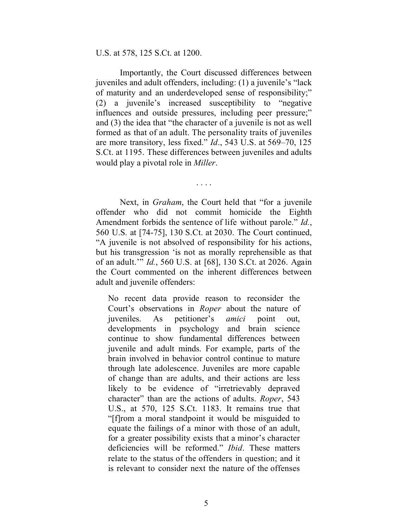#### U.S. at 578, 125 S.Ct. at 1200.

Importantly, the Court discussed differences between juveniles and adult offenders, including: (1) a juvenile's "lack of maturity and an underdeveloped sense of responsibility;" (2) a juvenile's increased susceptibility to "negative influences and outside pressures, including peer pressure;" and (3) the idea that "the character of a juvenile is not as well formed as that of an adult. The personality traits of juveniles are more transitory, less fixed." *Id*., 543 U.S. at 569–70, 125 S.Ct. at 1195. These differences between juveniles and adults would play a pivotal role in *Miller*.

Next, in *Graham*, the Court held that "for a juvenile offender who did not commit homicide the Eighth Amendment forbids the sentence of life without parole." *Id.*, 560 U.S. at [74-75], 130 S.Ct. at 2030. The Court continued, "A juvenile is not absolved of responsibility for his actions, but his transgression 'is not as morally reprehensible as that of an adult.'" *Id.*, 560 U.S. at [68], 130 S.Ct. at 2026. Again the Court commented on the inherent differences between adult and juvenile offenders:

. . . .

No recent data provide reason to reconsider the Court's observations in *Roper* about the nature of juveniles. As petitioner's *amici* point out, developments in psychology and brain science continue to show fundamental differences between juvenile and adult minds. For example, parts of the brain involved in behavior control continue to mature through late adolescence. Juveniles are more capable of change than are adults, and their actions are less likely to be evidence of "irretrievably depraved character" than are the actions of adults. *Roper*, 543 U.S., at 570, 125 S.Ct. 1183. It remains true that "[f]rom a moral standpoint it would be misguided to equate the failings of a minor with those of an adult, for a greater possibility exists that a minor's character deficiencies will be reformed." *Ibid*. These matters relate to the status of the offenders in question; and it is relevant to consider next the nature of the offenses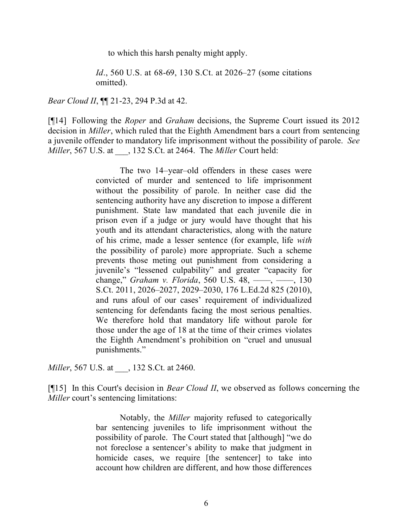to which this harsh penalty might apply.

*Id.*, 560 U.S. at 68-69, 130 S.Ct. at 2026–27 (some citations omitted).

*Bear Cloud II*, **[14** 21-23, 294 P.3d at 42.

[¶14] Following the *Roper* and *Graham* decisions, the Supreme Court issued its 2012 decision in *Miller*, which ruled that the Eighth Amendment bars a court from sentencing a juvenile offender to mandatory life imprisonment without the possibility of parole. *See Miller*, 567 U.S. at \_\_\_, 132 S.Ct. at 2464. The *Miller* Court held:

> The two 14–year–old offenders in these cases were convicted of murder and sentenced to life imprisonment without the possibility of parole. In neither case did the sentencing authority have any discretion to impose a different punishment. State law mandated that each juvenile die in prison even if a judge or jury would have thought that his youth and its attendant characteristics, along with the nature of his crime, made a lesser sentence (for example, life *with*  the possibility of parole) more appropriate. Such a scheme prevents those meting out punishment from considering a juvenile's "lessened culpability" and greater "capacity for change," *Graham v. Florida*, 560 U.S. 48, ––––, ––––, 130 S.Ct. 2011, 2026–2027, 2029–2030, 176 L.Ed.2d 825 (2010), and runs afoul of our cases' requirement of individualized sentencing for defendants facing the most serious penalties. We therefore hold that mandatory life without parole for those under the age of 18 at the time of their crimes violates the Eighth Amendment's prohibition on "cruel and unusual punishments."

*Miller*, 567 U.S. at \_\_\_, 132 S.Ct. at 2460.

[¶15] In this Court's decision in *Bear Cloud II*, we observed as follows concerning the *Miller* court's sentencing limitations:

> Notably, the *Miller* majority refused to categorically bar sentencing juveniles to life imprisonment without the possibility of parole. The Court stated that [although] "we do not foreclose a sentencer's ability to make that judgment in homicide cases, we require [the sentencer] to take into account how children are different, and how those differences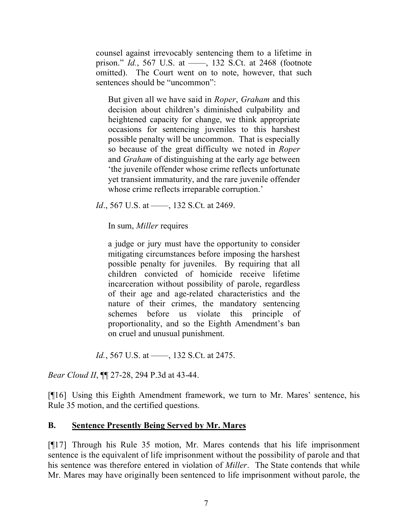counsel against irrevocably sentencing them to a lifetime in prison." *Id.*, 567 U.S. at ——, 132 S.Ct. at 2468 (footnote omitted). The Court went on to note, however, that such sentences should be "uncommon":

But given all we have said in *Roper*, *Graham* and this decision about children's diminished culpability and heightened capacity for change, we think appropriate occasions for sentencing juveniles to this harshest possible penalty will be uncommon. That is especially so because of the great difficulty we noted in *Roper* and *Graham* of distinguishing at the early age between 'the juvenile offender whose crime reflects unfortunate yet transient immaturity, and the rare juvenile offender whose crime reflects irreparable corruption.'

*Id.*, 567 U.S. at ——, 132 S.Ct. at 2469.

In sum, *Miller* requires

a judge or jury must have the opportunity to consider mitigating circumstances before imposing the harshest possible penalty for juveniles. By requiring that all children convicted of homicide receive lifetime incarceration without possibility of parole, regardless of their age and age-related characteristics and the nature of their crimes, the mandatory sentencing schemes before us violate this principle of proportionality, and so the Eighth Amendment's ban on cruel and unusual punishment.

*Id.*, 567 U.S. at ——, 132 S.Ct. at 2475.

*Bear Cloud II*, ¶¶ 27-28, 294 P.3d at 43-44.

[¶16] Using this Eighth Amendment framework, we turn to Mr. Mares' sentence, his Rule 35 motion, and the certified questions.

### **B. Sentence Presently Being Served by Mr. Mares**

[¶17] Through his Rule 35 motion, Mr. Mares contends that his life imprisonment sentence is the equivalent of life imprisonment without the possibility of parole and that his sentence was therefore entered in violation of *Miller*. The State contends that while Mr. Mares may have originally been sentenced to life imprisonment without parole, the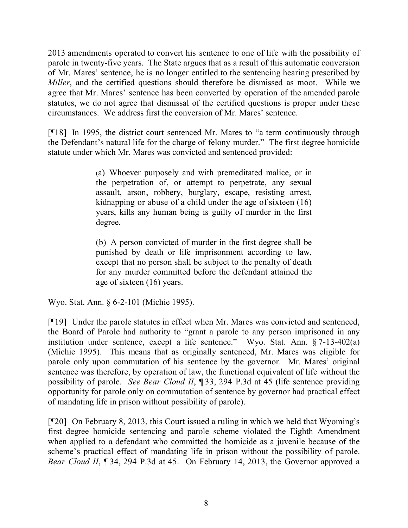2013 amendments operated to convert his sentence to one of life with the possibility of parole in twenty-five years. The State argues that as a result of this automatic conversion of Mr. Mares' sentence, he is no longer entitled to the sentencing hearing prescribed by *Miller*, and the certified questions should therefore be dismissed as moot. While we agree that Mr. Mares' sentence has been converted by operation of the amended parole statutes, we do not agree that dismissal of the certified questions is proper under these circumstances. We address first the conversion of Mr. Mares' sentence.

[¶18] In 1995, the district court sentenced Mr. Mares to "a term continuously through the Defendant's natural life for the charge of felony murder." The first degree homicide statute under which Mr. Mares was convicted and sentenced provided:

> (a) Whoever purposely and with premeditated malice, or in the perpetration of, or attempt to perpetrate, any sexual assault, arson, robbery, burglary, escape, resisting arrest, kidnapping or abuse of a child under the age of sixteen (16) years, kills any human being is guilty of murder in the first degree.

> (b) A person convicted of murder in the first degree shall be punished by death or life imprisonment according to law, except that no person shall be subject to the penalty of death for any murder committed before the defendant attained the age of sixteen (16) years.

Wyo. Stat. Ann. § 6-2-101 (Michie 1995).

[¶19] Under the parole statutes in effect when Mr. Mares was convicted and sentenced, the Board of Parole had authority to "grant a parole to any person imprisoned in any institution under sentence, except a life sentence." Wyo. Stat. Ann. § 7-13-402(a) (Michie 1995). This means that as originally sentenced, Mr. Mares was eligible for parole only upon commutation of his sentence by the governor. Mr. Mares' original sentence was therefore, by operation of law, the functional equivalent of life without the possibility of parole. *See Bear Cloud II*, ¶ 33, 294 P.3d at 45 (life sentence providing opportunity for parole only on commutation of sentence by governor had practical effect of mandating life in prison without possibility of parole).

[¶20] On February 8, 2013, this Court issued a ruling in which we held that Wyoming's first degree homicide sentencing and parole scheme violated the Eighth Amendment when applied to a defendant who committed the homicide as a juvenile because of the scheme's practical effect of mandating life in prison without the possibility of parole. *Bear Cloud II*, ¶ 34, 294 P.3d at 45. On February 14, 2013, the Governor approved a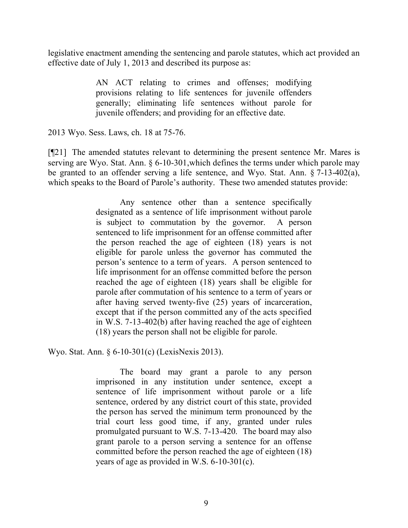legislative enactment amending the sentencing and parole statutes, which act provided an effective date of July 1, 2013 and described its purpose as:

> AN ACT relating to crimes and offenses; modifying provisions relating to life sentences for juvenile offenders generally; eliminating life sentences without parole for juvenile offenders; and providing for an effective date.

2013 Wyo. Sess. Laws, ch. 18 at 75-76.

[¶21] The amended statutes relevant to determining the present sentence Mr. Mares is serving are Wyo. Stat. Ann. § 6-10-301,which defines the terms under which parole may be granted to an offender serving a life sentence, and Wyo. Stat. Ann. § 7-13-402(a), which speaks to the Board of Parole's authority. These two amended statutes provide:

> Any sentence other than a sentence specifically designated as a sentence of life imprisonment without parole is subject to commutation by the governor. A person sentenced to life imprisonment for an offense committed after the person reached the age of eighteen (18) years is not eligible for parole unless the governor has commuted the person's sentence to a term of years. A person sentenced to life imprisonment for an offense committed before the person reached the age of eighteen (18) years shall be eligible for parole after commutation of his sentence to a term of years or after having served twenty-five (25) years of incarceration, except that if the person committed any of the acts specified in W.S. 7-13-402(b) after having reached the age of eighteen (18) years the person shall not be eligible for parole.

Wyo. Stat. Ann. § 6-10-301(c) (LexisNexis 2013).

The board may grant a parole to any person imprisoned in any institution under sentence, except a sentence of life imprisonment without parole or a life sentence, ordered by any district court of this state, provided the person has served the minimum term pronounced by the trial court less good time, if any, granted under rules promulgated pursuant to W.S. 7-13-420. The board may also grant parole to a person serving a sentence for an offense committed before the person reached the age of eighteen (18) years of age as provided in W.S. 6-10-301(c).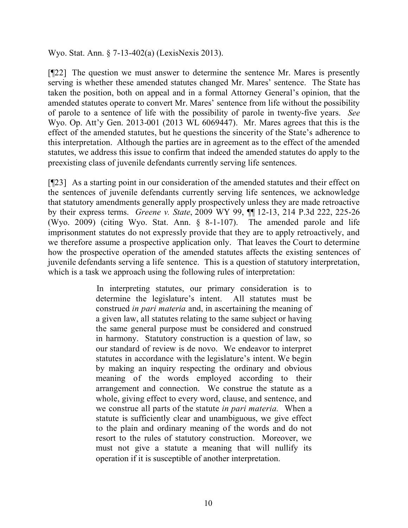Wyo. Stat. Ann. § 7-13-402(a) (LexisNexis 2013).

[¶22] The question we must answer to determine the sentence Mr. Mares is presently serving is whether these amended statutes changed Mr. Mares' sentence. The State has taken the position, both on appeal and in a formal Attorney General's opinion, that the amended statutes operate to convert Mr. Mares' sentence from life without the possibility of parole to a sentence of life with the possibility of parole in twenty-five years. *See* Wyo. Op. Att'y Gen. 2013-001 (2013 WL 6069447). Mr. Mares agrees that this is the effect of the amended statutes, but he questions the sincerity of the State's adherence to this interpretation. Although the parties are in agreement as to the effect of the amended statutes, we address this issue to confirm that indeed the amended statutes do apply to the preexisting class of juvenile defendants currently serving life sentences.

[¶23] As a starting point in our consideration of the amended statutes and their effect on the sentences of juvenile defendants currently serving life sentences, we acknowledge that statutory amendments generally apply prospectively unless they are made retroactive by their express terms. *Greene v. State*, 2009 WY 99, ¶¶ 12-13, 214 P.3d 222, 225-26 (Wyo. 2009) (citing Wyo. Stat. Ann. § 8-1-107). The amended parole and life imprisonment statutes do not expressly provide that they are to apply retroactively, and we therefore assume a prospective application only. That leaves the Court to determine how the prospective operation of the amended statutes affects the existing sentences of juvenile defendants serving a life sentence. This is a question of statutory interpretation, which is a task we approach using the following rules of interpretation:

> In interpreting statutes, our primary consideration is to determine the legislature's intent. All statutes must be construed *in pari materia* and, in ascertaining the meaning of a given law, all statutes relating to the same subject or having the same general purpose must be considered and construed in harmony. Statutory construction is a question of law, so our standard of review is de novo. We endeavor to interpret statutes in accordance with the legislature's intent. We begin by making an inquiry respecting the ordinary and obvious meaning of the words employed according to their arrangement and connection. We construe the statute as a whole, giving effect to every word, clause, and sentence, and we construe all parts of the statute *in pari materia.* When a statute is sufficiently clear and unambiguous, we give effect to the plain and ordinary meaning of the words and do not resort to the rules of statutory construction. Moreover, we must not give a statute a meaning that will nullify its operation if it is susceptible of another interpretation.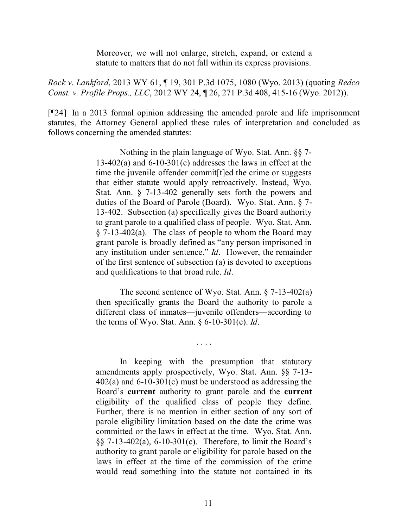Moreover, we will not enlarge, stretch, expand, or extend a statute to matters that do not fall within its express provisions.

*Rock v. Lankford*, 2013 WY 61, ¶ 19, 301 P.3d 1075, 1080 (Wyo. 2013) (quoting *Redco Const. v. Profile Props., LLC*, 2012 WY 24, ¶ 26, 271 P.3d 408, 415-16 (Wyo. 2012)).

[¶24] In a 2013 formal opinion addressing the amended parole and life imprisonment statutes, the Attorney General applied these rules of interpretation and concluded as follows concerning the amended statutes:

> Nothing in the plain language of Wyo. Stat. Ann. §§ 7-  $13-402(a)$  and  $6-10-301(c)$  addresses the laws in effect at the time the juvenile offender commit[t]ed the crime or suggests that either statute would apply retroactively. Instead, Wyo. Stat. Ann. § 7-13-402 generally sets forth the powers and duties of the Board of Parole (Board). Wyo. Stat. Ann. § 7- 13-402. Subsection (a) specifically gives the Board authority to grant parole to a qualified class of people. Wyo. Stat. Ann. § 7-13-402(a). The class of people to whom the Board may grant parole is broadly defined as "any person imprisoned in any institution under sentence." *Id*. However, the remainder of the first sentence of subsection (a) is devoted to exceptions and qualifications to that broad rule. *Id*.

> The second sentence of Wyo. Stat. Ann. § 7-13-402(a) then specifically grants the Board the authority to parole a different class of inmates—juvenile offenders—according to the terms of Wyo. Stat. Ann. § 6-10-301(c). *Id*.

> > . . . .

In keeping with the presumption that statutory amendments apply prospectively, Wyo. Stat. Ann. §§ 7-13- 402(a) and 6-10-301(c) must be understood as addressing the Board's **current** authority to grant parole and the **current** eligibility of the qualified class of people they define. Further, there is no mention in either section of any sort of parole eligibility limitation based on the date the crime was committed or the laws in effect at the time. Wyo. Stat. Ann. §§ 7-13-402(a), 6-10-301(c). Therefore, to limit the Board's authority to grant parole or eligibility for parole based on the laws in effect at the time of the commission of the crime would read something into the statute not contained in its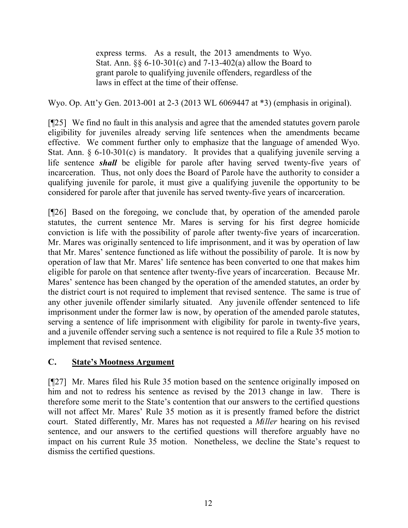express terms. As a result, the 2013 amendments to Wyo. Stat. Ann. §§ 6-10-301(c) and 7-13-402(a) allow the Board to grant parole to qualifying juvenile offenders, regardless of the laws in effect at the time of their offense.

Wyo. Op. Att'y Gen. 2013-001 at 2-3 (2013 WL 6069447 at \*3) (emphasis in original).

[¶25] We find no fault in this analysis and agree that the amended statutes govern parole eligibility for juveniles already serving life sentences when the amendments became effective. We comment further only to emphasize that the language of amended Wyo. Stat. Ann. § 6-10-301(c) is mandatory. It provides that a qualifying juvenile serving a life sentence *shall* be eligible for parole after having served twenty-five years of incarceration. Thus, not only does the Board of Parole have the authority to consider a qualifying juvenile for parole, it must give a qualifying juvenile the opportunity to be considered for parole after that juvenile has served twenty-five years of incarceration.

[¶26] Based on the foregoing, we conclude that, by operation of the amended parole statutes, the current sentence Mr. Mares is serving for his first degree homicide conviction is life with the possibility of parole after twenty-five years of incarceration. Mr. Mares was originally sentenced to life imprisonment, and it was by operation of law that Mr. Mares' sentence functioned as life without the possibility of parole. It is now by operation of law that Mr. Mares' life sentence has been converted to one that makes him eligible for parole on that sentence after twenty-five years of incarceration. Because Mr. Mares' sentence has been changed by the operation of the amended statutes, an order by the district court is not required to implement that revised sentence. The same is true of any other juvenile offender similarly situated. Any juvenile offender sentenced to life imprisonment under the former law is now, by operation of the amended parole statutes, serving a sentence of life imprisonment with eligibility for parole in twenty-five years, and a juvenile offender serving such a sentence is not required to file a Rule 35 motion to implement that revised sentence.

# **C. State's Mootness Argument**

[¶27] Mr. Mares filed his Rule 35 motion based on the sentence originally imposed on him and not to redress his sentence as revised by the 2013 change in law. There is therefore some merit to the State's contention that our answers to the certified questions will not affect Mr. Mares' Rule 35 motion as it is presently framed before the district court. Stated differently, Mr. Mares has not requested a *Miller* hearing on his revised sentence, and our answers to the certified questions will therefore arguably have no impact on his current Rule 35 motion. Nonetheless, we decline the State's request to dismiss the certified questions.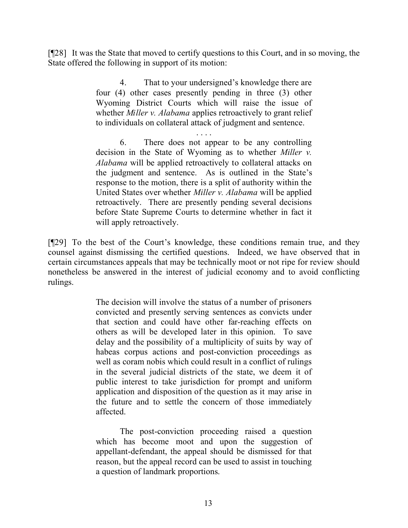[¶28] It was the State that moved to certify questions to this Court, and in so moving, the State offered the following in support of its motion:

> 4. That to your undersigned's knowledge there are four (4) other cases presently pending in three (3) other Wyoming District Courts which will raise the issue of whether *Miller v. Alabama* applies retroactively to grant relief to individuals on collateral attack of judgment and sentence.

> . . . . 6. There does not appear to be any controlling decision in the State of Wyoming as to whether *Miller v. Alabama* will be applied retroactively to collateral attacks on the judgment and sentence. As is outlined in the State's response to the motion, there is a split of authority within the United States over whether *Miller v. Alabama* will be applied retroactively. There are presently pending several decisions before State Supreme Courts to determine whether in fact it will apply retroactively.

[¶29] To the best of the Court's knowledge, these conditions remain true, and they counsel against dismissing the certified questions. Indeed, we have observed that in certain circumstances appeals that may be technically moot or not ripe for review should nonetheless be answered in the interest of judicial economy and to avoid conflicting rulings.

> The decision will involve the status of a number of prisoners convicted and presently serving sentences as convicts under that section and could have other far-reaching effects on others as will be developed later in this opinion. To save delay and the possibility of a multiplicity of suits by way of habeas corpus actions and post-conviction proceedings as well as coram nobis which could result in a conflict of rulings in the several judicial districts of the state, we deem it of public interest to take jurisdiction for prompt and uniform application and disposition of the question as it may arise in the future and to settle the concern of those immediately affected.

> The post-conviction proceeding raised a question which has become moot and upon the suggestion of appellant-defendant, the appeal should be dismissed for that reason, but the appeal record can be used to assist in touching a question of landmark proportions.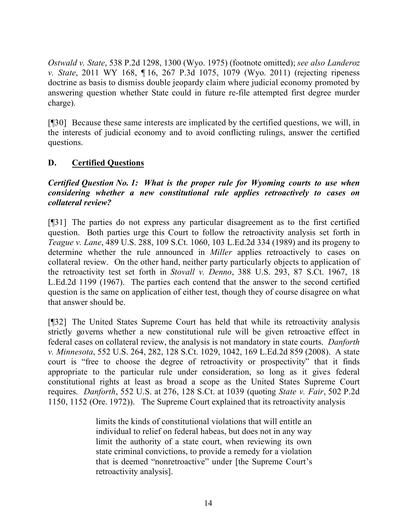*Ostwald v. State*, 538 P.2d 1298, 1300 (Wyo. 1975) (footnote omitted); *see also Landeroz v. State*, 2011 WY 168, ¶ 16, 267 P.3d 1075, 1079 (Wyo. 2011) (rejecting ripeness doctrine as basis to dismiss double jeopardy claim where judicial economy promoted by answering question whether State could in future re-file attempted first degree murder charge).

[¶30] Because these same interests are implicated by the certified questions, we will, in the interests of judicial economy and to avoid conflicting rulings, answer the certified questions.

## **D. Certified Questions**

## *Certified Question No. 1: What is the proper rule for Wyoming courts to use when considering whether a new constitutional rule applies retroactively to cases on collateral review?*

[¶31] The parties do not express any particular disagreement as to the first certified question. Both parties urge this Court to follow the retroactivity analysis set forth in *Teague v. Lane*, 489 U.S. 288, 109 S.Ct. 1060, 103 L.Ed.2d 334 (1989) and its progeny to determine whether the rule announced in *Miller* applies retroactively to cases on collateral review. On the other hand, neither party particularly objects to application of the retroactivity test set forth in *Stovall v. Denno*, 388 U.S. 293, 87 S.Ct. 1967, 18 L.Ed.2d 1199 (1967). The parties each contend that the answer to the second certified question is the same on application of either test, though they of course disagree on what that answer should be.

[¶32] The United States Supreme Court has held that while its retroactivity analysis strictly governs whether a new constitutional rule will be given retroactive effect in federal cases on collateral review, the analysis is not mandatory in state courts. *Danforth v. Minnesota*, 552 U.S. 264, 282, 128 S.Ct. 1029, 1042, 169 L.Ed.2d 859 (2008). A state court is "free to choose the degree of retroactivity or prospectivity" that it finds appropriate to the particular rule under consideration, so long as it gives federal constitutional rights at least as broad a scope as the United States Supreme Court requires. *Danforth*, 552 U.S. at 276, 128 S.Ct. at 1039 (quoting *State v. Fair*, 502 P.2d 1150, 1152 (Ore. 1972)). The Supreme Court explained that its retroactivity analysis

> limits the kinds of constitutional violations that will entitle an individual to relief on federal habeas, but does not in any way limit the authority of a state court, when reviewing its own state criminal convictions, to provide a remedy for a violation that is deemed "nonretroactive" under [the Supreme Court's retroactivity analysis].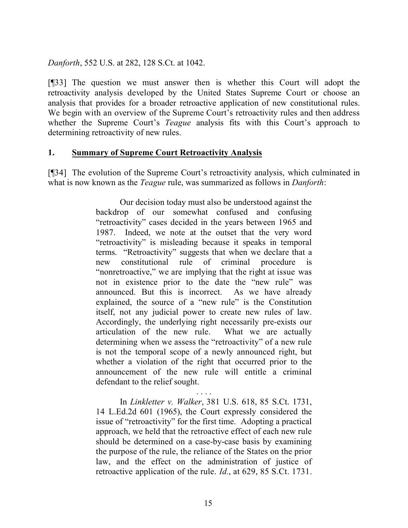*Danforth*, 552 U.S. at 282, 128 S.Ct. at 1042.

[¶33] The question we must answer then is whether this Court will adopt the retroactivity analysis developed by the United States Supreme Court or choose an analysis that provides for a broader retroactive application of new constitutional rules. We begin with an overview of the Supreme Court's retroactivity rules and then address whether the Supreme Court's *Teague* analysis fits with this Court's approach to determining retroactivity of new rules.

### **1. Summary of Supreme Court Retroactivity Analysis**

[¶34] The evolution of the Supreme Court's retroactivity analysis, which culminated in what is now known as the *Teague* rule, was summarized as follows in *Danforth*:

> Our decision today must also be understood against the backdrop of our somewhat confused and confusing "retroactivity" cases decided in the years between 1965 and 1987. Indeed, we note at the outset that the very word "retroactivity" is misleading because it speaks in temporal terms. "Retroactivity" suggests that when we declare that a new constitutional rule of criminal procedure "nonretroactive," we are implying that the right at issue was not in existence prior to the date the "new rule" was announced. But this is incorrect. As we have already explained, the source of a "new rule" is the Constitution itself, not any judicial power to create new rules of law. Accordingly, the underlying right necessarily pre-exists our articulation of the new rule. What we are actually determining when we assess the "retroactivity" of a new rule is not the temporal scope of a newly announced right, but whether a violation of the right that occurred prior to the announcement of the new rule will entitle a criminal defendant to the relief sought.

> . . . . In *Linkletter v. Walker*, 381 U.S. 618, 85 S.Ct. 1731, 14 L.Ed.2d 601 (1965), the Court expressly considered the issue of "retroactivity" for the first time. Adopting a practical approach, we held that the retroactive effect of each new rule should be determined on a case-by-case basis by examining the purpose of the rule, the reliance of the States on the prior law, and the effect on the administration of justice of retroactive application of the rule. *Id.*, at 629, 85 S.Ct. 1731.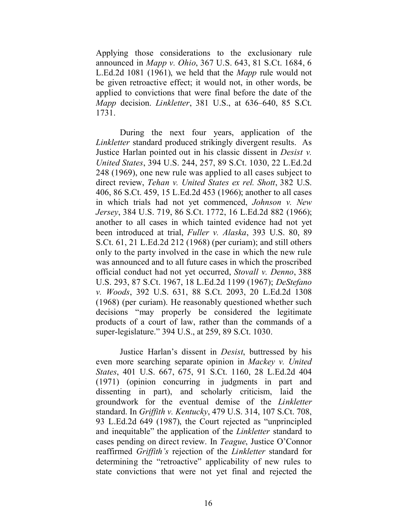Applying those considerations to the exclusionary rule announced in *Mapp v. Ohio*, 367 U.S. 643, 81 S.Ct. 1684, 6 L.Ed.2d 1081 (1961), we held that the *Mapp* rule would not be given retroactive effect; it would not, in other words, be applied to convictions that were final before the date of the *Mapp* decision. *Linkletter*, 381 U.S., at 636–640, 85 S.Ct. 1731.

During the next four years, application of the *Linkletter* standard produced strikingly divergent results. As Justice Harlan pointed out in his classic dissent in *Desist v. United States*, 394 U.S. 244, 257, 89 S.Ct. 1030, 22 L.Ed.2d 248 (1969), one new rule was applied to all cases subject to direct review, *Tehan v. United States ex rel. Shott*, 382 U.S. 406, 86 S.Ct. 459, 15 L.Ed.2d 453 (1966); another to all cases in which trials had not yet commenced, *Johnson v. New Jersey*, 384 U.S. 719, 86 S.Ct. 1772, 16 L.Ed.2d 882 (1966); another to all cases in which tainted evidence had not yet been introduced at trial, *Fuller v. Alaska*, 393 U.S. 80, 89 S.Ct. 61, 21 L.Ed.2d 212 (1968) (per curiam); and still others only to the party involved in the case in which the new rule was announced and to all future cases in which the proscribed official conduct had not yet occurred, *Stovall v. Denno*, 388 U.S. 293, 87 S.Ct. 1967, 18 L.Ed.2d 1199 (1967); *DeStefano v. Woods*, 392 U.S. 631, 88 S.Ct. 2093, 20 L.Ed.2d 1308 (1968) (per curiam). He reasonably questioned whether such decisions "may properly be considered the legitimate products of a court of law, rather than the commands of a super-legislature." 394 U.S., at 259, 89 S.Ct. 1030.

Justice Harlan's dissent in *Desist*, buttressed by his even more searching separate opinion in *Mackey v. United States*, 401 U.S. 667, 675, 91 S.Ct. 1160, 28 L.Ed.2d 404 (1971) (opinion concurring in judgments in part and dissenting in part), and scholarly criticism, laid the groundwork for the eventual demise of the *Linkletter* standard. In *Griffith v. Kentucky*, 479 U.S. 314, 107 S.Ct. 708, 93 L.Ed.2d 649 (1987), the Court rejected as "unprincipled and inequitable" the application of the *Linkletter* standard to cases pending on direct review. In *Teague*, Justice O'Connor reaffirmed *Griffith's* rejection of the *Linkletter* standard for determining the "retroactive" applicability of new rules to state convictions that were not yet final and rejected the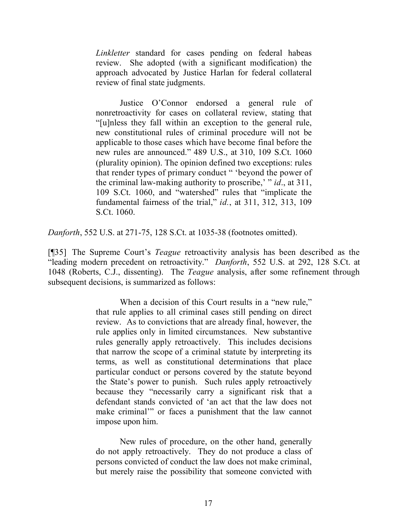*Linkletter* standard for cases pending on federal habeas review. She adopted (with a significant modification) the approach advocated by Justice Harlan for federal collateral review of final state judgments.

Justice O'Connor endorsed a general rule of nonretroactivity for cases on collateral review, stating that "[u]nless they fall within an exception to the general rule, new constitutional rules of criminal procedure will not be applicable to those cases which have become final before the new rules are announced." 489 U.S., at 310, 109 S.Ct. 1060 (plurality opinion). The opinion defined two exceptions: rules that render types of primary conduct " 'beyond the power of the criminal law-making authority to proscribe,' " *id*., at 311, 109 S.Ct. 1060, and "watershed" rules that "implicate the fundamental fairness of the trial," *id.*, at 311, 312, 313, 109 S.Ct. 1060.

*Danforth*, 552 U.S. at 271-75, 128 S.Ct. at 1035-38 (footnotes omitted).

[¶35] The Supreme Court's *Teague* retroactivity analysis has been described as the "leading modern precedent on retroactivity." *Danforth*, 552 U.S. at 292, 128 S.Ct. at 1048 (Roberts, C.J., dissenting). The *Teague* analysis, after some refinement through subsequent decisions, is summarized as follows:

> When a decision of this Court results in a "new rule," that rule applies to all criminal cases still pending on direct review. As to convictions that are already final, however, the rule applies only in limited circumstances. New substantive rules generally apply retroactively. This includes decisions that narrow the scope of a criminal statute by interpreting its terms, as well as constitutional determinations that place particular conduct or persons covered by the statute beyond the State's power to punish. Such rules apply retroactively because they "necessarily carry a significant risk that a defendant stands convicted of 'an act that the law does not make criminal'" or faces a punishment that the law cannot impose upon him.

> New rules of procedure, on the other hand, generally do not apply retroactively. They do not produce a class of persons convicted of conduct the law does not make criminal, but merely raise the possibility that someone convicted with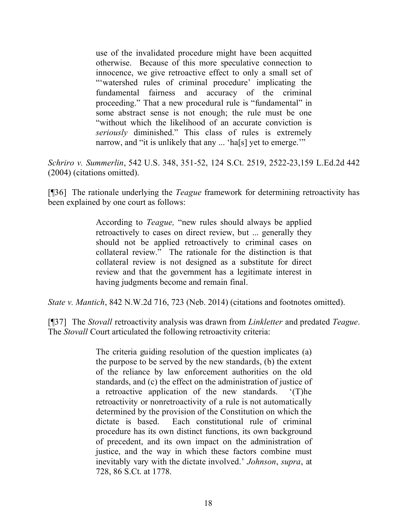use of the invalidated procedure might have been acquitted otherwise. Because of this more speculative connection to innocence, we give retroactive effect to only a small set of "'watershed rules of criminal procedure' implicating the fundamental fairness and accuracy of the criminal proceeding." That a new procedural rule is "fundamental" in some abstract sense is not enough; the rule must be one "without which the likelihood of an accurate conviction is *seriously* diminished." This class of rules is extremely narrow, and "it is unlikely that any ... 'ha[s] yet to emerge.'"

*Schriro v. Summerlin*, 542 U.S. 348, 351-52, 124 S.Ct. 2519, 2522-23,159 L.Ed.2d 442 (2004) (citations omitted).

[¶36] The rationale underlying the *Teague* framework for determining retroactivity has been explained by one court as follows:

> According to *Teague,* "new rules should always be applied retroactively to cases on direct review, but ... generally they should not be applied retroactively to criminal cases on collateral review." The rationale for the distinction is that collateral review is not designed as a substitute for direct review and that the government has a legitimate interest in having judgments become and remain final.

*State v. Mantich*, 842 N.W.2d 716, 723 (Neb. 2014) (citations and footnotes omitted).

[¶37] The *Stovall* retroactivity analysis was drawn from *Linkletter* and predated *Teague*. The *Stovall* Court articulated the following retroactivity criteria:

> The criteria guiding resolution of the question implicates (a) the purpose to be served by the new standards, (b) the extent of the reliance by law enforcement authorities on the old standards, and (c) the effect on the administration of justice of a retroactive application of the new standards. '(T)he retroactivity or nonretroactivity of a rule is not automatically determined by the provision of the Constitution on which the dictate is based. Each constitutional rule of criminal procedure has its own distinct functions, its own background of precedent, and its own impact on the administration of justice, and the way in which these factors combine must inevitably vary with the dictate involved.' *Johnson*, *supra*, at 728, 86 S.Ct. at 1778.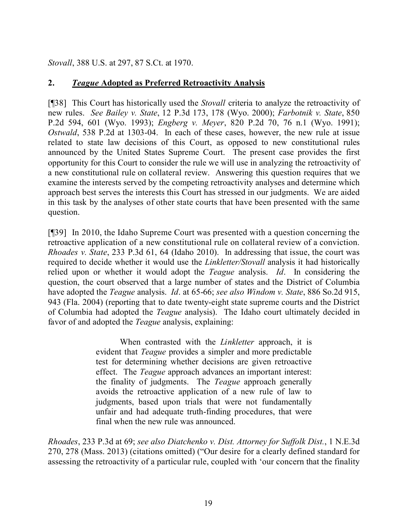*Stovall*, 388 U.S. at 297, 87 S.Ct. at 1970.

## **2.** *Teague* **Adopted as Preferred Retroactivity Analysis**

[¶38] This Court has historically used the *Stovall* criteria to analyze the retroactivity of new rules. *See Bailey v. State*, 12 P.3d 173, 178 (Wyo. 2000); *Farbotnik v. State*, 850 P.2d 594, 601 (Wyo. 1993); *Engberg v. Meyer*, 820 P.2d 70, 76 n.1 (Wyo. 1991); *Ostwald*, 538 P.2d at 1303-04. In each of these cases, however, the new rule at issue related to state law decisions of this Court, as opposed to new constitutional rules announced by the United States Supreme Court. The present case provides the first opportunity for this Court to consider the rule we will use in analyzing the retroactivity of a new constitutional rule on collateral review. Answering this question requires that we examine the interests served by the competing retroactivity analyses and determine which approach best serves the interests this Court has stressed in our judgments. We are aided in this task by the analyses of other state courts that have been presented with the same question.

[¶39] In 2010, the Idaho Supreme Court was presented with a question concerning the retroactive application of a new constitutional rule on collateral review of a conviction. *Rhoades v. State*, 233 P.3d 61, 64 (Idaho 2010). In addressing that issue, the court was required to decide whether it would use the *Linkletter/Stovall* analysis it had historically relied upon or whether it would adopt the *Teague* analysis. *Id*. In considering the question, the court observed that a large number of states and the District of Columbia have adopted the *Teague* analysis. *Id*. at 65-66; *see also Windom v. State*, 886 So.2d 915, 943 (Fla. 2004) (reporting that to date twenty-eight state supreme courts and the District of Columbia had adopted the *Teague* analysis). The Idaho court ultimately decided in favor of and adopted the *Teague* analysis, explaining:

> When contrasted with the *Linkletter* approach, it is evident that *Teague* provides a simpler and more predictable test for determining whether decisions are given retroactive effect. The *Teague* approach advances an important interest: the finality of judgments. The *Teague* approach generally avoids the retroactive application of a new rule of law to judgments, based upon trials that were not fundamentally unfair and had adequate truth-finding procedures, that were final when the new rule was announced.

*Rhoades*, 233 P.3d at 69; *see also Diatchenko v. Dist. Attorney for Suffolk Dist.*, 1 N.E.3d 270, 278 (Mass. 2013) (citations omitted) ("Our desire for a clearly defined standard for assessing the retroactivity of a particular rule, coupled with 'our concern that the finality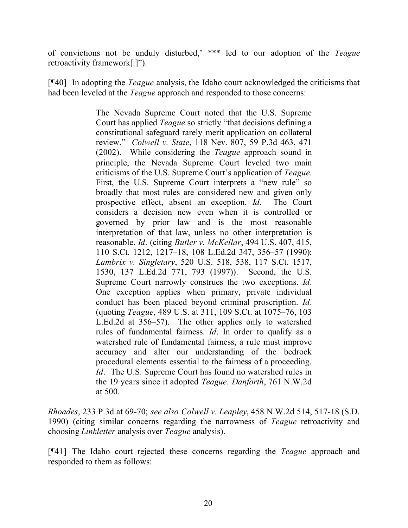of convictions not be unduly disturbed,' \*\*\* led to our adoption of the *Teague* retroactivity framework[.]").

[¶40] In adopting the *Teague* analysis, the Idaho court acknowledged the criticisms that had been leveled at the *Teague* approach and responded to those concerns:

> The Nevada Supreme Court noted that the U.S. Supreme Court has applied *Teague* so strictly "that decisions defining a constitutional safeguard rarely merit application on collateral review." *Colwell v. State*, 118 Nev. 807, 59 P.3d 463, 471 (2002). While considering the *Teague* approach sound in principle, the Nevada Supreme Court leveled two main criticisms of the U.S. Supreme Court's application of *Teague*. First, the U.S. Supreme Court interprets a "new rule" so broadly that most rules are considered new and given only prospective effect, absent an exception. *Id*. The Court considers a decision new even when it is controlled or governed by prior law and is the most reasonable interpretation of that law, unless no other interpretation is reasonable. *Id*. (citing *Butler v. McKellar*, 494 U.S. 407, 415, 110 S.Ct. 1212, 1217–18, 108 L.Ed.2d 347, 356–57 (1990); *Lambrix v. Singletary*, 520 U.S. 518, 538, 117 S.Ct. 1517, 1530, 137 L.Ed.2d 771, 793 (1997)). Second, the U.S. Supreme Court narrowly construes the two exceptions. *Id*. One exception applies when primary, private individual conduct has been placed beyond criminal proscription. *Id*. (quoting *Teague*, 489 U.S. at 311, 109 S.Ct. at 1075–76, 103 L.Ed.2d at 356–57). The other applies only to watershed rules of fundamental fairness. *Id*. In order to qualify as a watershed rule of fundamental fairness, a rule must improve accuracy and alter our understanding of the bedrock procedural elements essential to the fairness of a proceeding. *Id.* The U.S. Supreme Court has found no watershed rules in the 19 years since it adopted *Teague*. *Danforth*, 761 N.W.2d at 500.

*Rhoades*, 233 P.3d at 69-70; *see also Colwell v. Leapley*, 458 N.W.2d 514, 517-18 (S.D. 1990) (citing similar concerns regarding the narrowness of *Teague* retroactivity and choosing *Linkletter* analysis over *Teague* analysis).

[¶41] The Idaho court rejected these concerns regarding the *Teague* approach and responded to them as follows: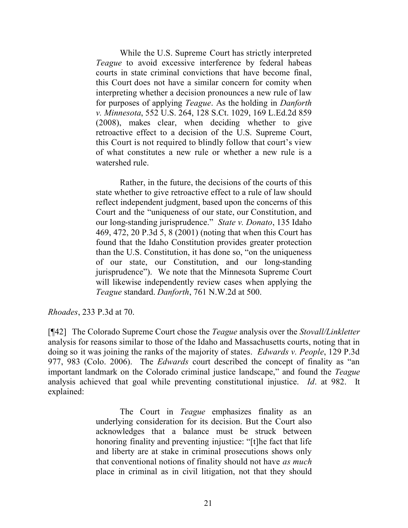While the U.S. Supreme Court has strictly interpreted *Teague* to avoid excessive interference by federal habeas courts in state criminal convictions that have become final, this Court does not have a similar concern for comity when interpreting whether a decision pronounces a new rule of law for purposes of applying *Teague*. As the holding in *Danforth v. Minnesota*, 552 U.S. 264, 128 S.Ct. 1029, 169 L.Ed.2d 859 (2008), makes clear, when deciding whether to give retroactive effect to a decision of the U.S. Supreme Court, this Court is not required to blindly follow that court's view of what constitutes a new rule or whether a new rule is a watershed rule.

Rather, in the future, the decisions of the courts of this state whether to give retroactive effect to a rule of law should reflect independent judgment, based upon the concerns of this Court and the "uniqueness of our state, our Constitution, and our long-standing jurisprudence." *State v. Donato*, 135 Idaho 469, 472, 20 P.3d 5, 8 (2001) (noting that when this Court has found that the Idaho Constitution provides greater protection than the U.S. Constitution, it has done so, "on the uniqueness of our state, our Constitution, and our long-standing jurisprudence"). We note that the Minnesota Supreme Court will likewise independently review cases when applying the *Teague* standard. *Danforth*, 761 N.W.2d at 500.

*Rhoades*, 233 P.3d at 70.

[¶42] The Colorado Supreme Court chose the *Teague* analysis over the *Stovall/Linkletter* analysis for reasons similar to those of the Idaho and Massachusetts courts, noting that in doing so it was joining the ranks of the majority of states. *Edwards v. People*, 129 P.3d 977, 983 (Colo. 2006). The *Edwards* court described the concept of finality as "an important landmark on the Colorado criminal justice landscape," and found the *Teague* analysis achieved that goal while preventing constitutional injustice. *Id*. at 982. It explained:

> The Court in *Teague* emphasizes finality as an underlying consideration for its decision. But the Court also acknowledges that a balance must be struck between honoring finality and preventing injustice: "[t]he fact that life and liberty are at stake in criminal prosecutions shows only that conventional notions of finality should not have *as much* place in criminal as in civil litigation, not that they should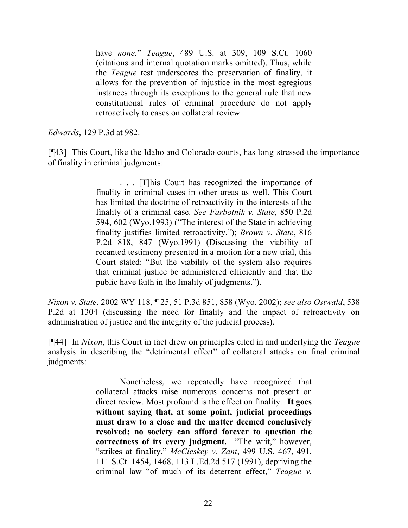have *none.*" *Teague*, 489 U.S. at 309, 109 S.Ct. 1060 (citations and internal quotation marks omitted). Thus, while the *Teague* test underscores the preservation of finality, it allows for the prevention of injustice in the most egregious instances through its exceptions to the general rule that new constitutional rules of criminal procedure do not apply retroactively to cases on collateral review.

*Edwards*, 129 P.3d at 982.

[¶43] This Court, like the Idaho and Colorado courts, has long stressed the importance of finality in criminal judgments:

> . . . [T]his Court has recognized the importance of finality in criminal cases in other areas as well. This Court has limited the doctrine of retroactivity in the interests of the finality of a criminal case. *See Farbotnik v. State*, 850 P.2d 594, 602 (Wyo.1993) ("The interest of the State in achieving finality justifies limited retroactivity."); *Brown v. State*, 816 P.2d 818, 847 (Wyo.1991) (Discussing the viability of recanted testimony presented in a motion for a new trial, this Court stated: "But the viability of the system also requires that criminal justice be administered efficiently and that the public have faith in the finality of judgments.").

*Nixon v. State*, 2002 WY 118, ¶ 25, 51 P.3d 851, 858 (Wyo. 2002); *see also Ostwald*, 538 P.2d at 1304 (discussing the need for finality and the impact of retroactivity on administration of justice and the integrity of the judicial process).

[¶44] In *Nixon*, this Court in fact drew on principles cited in and underlying the *Teague* analysis in describing the "detrimental effect" of collateral attacks on final criminal judgments:

> Nonetheless, we repeatedly have recognized that collateral attacks raise numerous concerns not present on direct review. Most profound is the effect on finality. **It goes without saying that, at some point, judicial proceedings must draw to a close and the matter deemed conclusively resolved; no society can afford forever to question the correctness of its every judgment.** "The writ," however, "strikes at finality," *McCleskey v. Zant*, 499 U.S. 467, 491, 111 S.Ct. 1454, 1468, 113 L.Ed.2d 517 (1991), depriving the criminal law "of much of its deterrent effect," *Teague v.*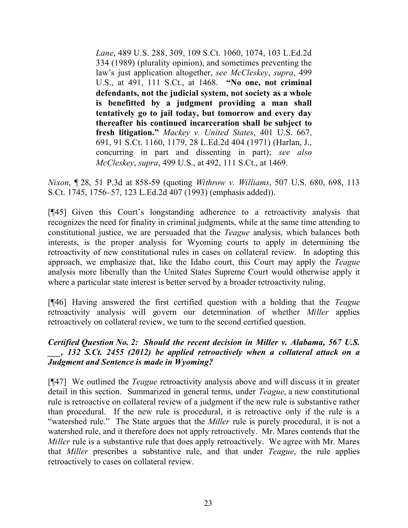*Lane*, 489 U.S. 288, 309, 109 S.Ct. 1060, 1074, 103 L.Ed.2d 334 (1989) (plurality opinion), and sometimes preventing the law's just application altogether, *see McCleskey*, *supra*, 499 U.S., at 491, 111 S.Ct., at 1468. **"No one, not criminal defendants, not the judicial system, not society as a whole is benefitted by a judgment providing a man shall tentatively go to jail today, but tomorrow and every day thereafter his continued incarceration shall be subject to fresh litigation."** *Mackey v. United States*, 401 U.S. 667, 691, 91 S.Ct. 1160, 1179, 28 L.Ed.2d 404 (1971) (Harlan, J., concurring in part and dissenting in part); *see also McCleskey*, *supra*, 499 U.S., at 492, 111 S.Ct., at 1469.

*Nixon*, ¶ 28, 51 P.3d at 858-59 (quoting *Withrow v. Williams*, 507 U.S. 680, 698, 113 S.Ct. 1745, 1756–57, 123 L.Ed.2d 407 (1993) (emphasis added)).

[¶45] Given this Court's longstanding adherence to a retroactivity analysis that recognizes the need for finality in criminal judgments, while at the same time attending to constitutional justice, we are persuaded that the *Teague* analysis, which balances both interests, is the proper analysis for Wyoming courts to apply in determining the retroactivity of new constitutional rules in cases on collateral review. In adopting this approach, we emphasize that, like the Idaho court, this Court may apply the *Teague* analysis more liberally than the United States Supreme Court would otherwise apply it where a particular state interest is better served by a broader retroactivity ruling.

[¶46] Having answered the first certified question with a holding that the *Teague* retroactivity analysis will govern our determination of whether *Miller* applies retroactively on collateral review, we turn to the second certified question.

## *Certified Question No. 2: Should the recent decision in Miller v. Alabama, 567 U.S. \_\_\_, 132 S.Ct. 2455 (2012) be applied retroactively when a collateral attack on a Judgment and Sentence is made in Wyoming?*

[¶47] We outlined the *Teague* retroactivity analysis above and will discuss it in greater detail in this section. Summarized in general terms, under *Teague*, a new constitutional rule is retroactive on collateral review of a judgment if the new rule is substantive rather than procedural. If the new rule is procedural, it is retroactive only if the rule is a "watershed rule." The State argues that the *Miller* rule is purely procedural, it is not a watershed rule, and it therefore does not apply retroactively. Mr. Mares contends that the *Miller* rule is a substantive rule that does apply retroactively. We agree with Mr. Mares that *Miller* prescribes a substantive rule, and that under *Teague*, the rule applies retroactively to cases on collateral review.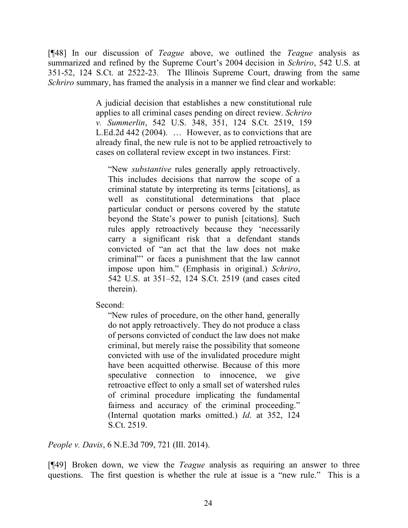[¶48] In our discussion of *Teague* above, we outlined the *Teague* analysis as summarized and refined by the Supreme Court's 2004 decision in *Schriro*, 542 U.S. at 351-52, 124 S.Ct. at 2522-23. The Illinois Supreme Court, drawing from the same *Schriro* summary, has framed the analysis in a manner we find clear and workable:

> A judicial decision that establishes a new constitutional rule applies to all criminal cases pending on direct review. *Schriro v. Summerlin*, 542 U.S. 348, 351, 124 S.Ct. 2519, 159 L.Ed.2d 442 (2004). … However, as to convictions that are already final, the new rule is not to be applied retroactively to cases on collateral review except in two instances. First:

"New *substantive* rules generally apply retroactively. This includes decisions that narrow the scope of a criminal statute by interpreting its terms [citations], as well as constitutional determinations that place particular conduct or persons covered by the statute beyond the State's power to punish [citations]. Such rules apply retroactively because they 'necessarily carry a significant risk that a defendant stands convicted of "an act that the law does not make criminal"' or faces a punishment that the law cannot impose upon him." (Emphasis in original.) *Schriro*, 542 U.S. at 351–52, 124 S.Ct. 2519 (and cases cited therein).

Second:

"New rules of procedure, on the other hand, generally do not apply retroactively. They do not produce a class of persons convicted of conduct the law does not make criminal, but merely raise the possibility that someone convicted with use of the invalidated procedure might have been acquitted otherwise. Because of this more speculative connection to innocence, we give retroactive effect to only a small set of watershed rules of criminal procedure implicating the fundamental fairness and accuracy of the criminal proceeding." (Internal quotation marks omitted.) *Id*. at 352, 124 S.Ct. 2519.

*People v. Davis*, 6 N.E.3d 709, 721 (Ill. 2014).

[¶49] Broken down, we view the *Teague* analysis as requiring an answer to three questions. The first question is whether the rule at issue is a "new rule." This is a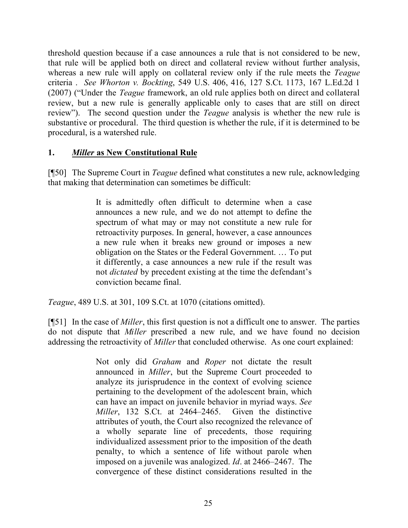threshold question because if a case announces a rule that is not considered to be new, that rule will be applied both on direct and collateral review without further analysis, whereas a new rule will apply on collateral review only if the rule meets the *Teague* criteria . *See Whorton v. Bockting*, 549 U.S. 406, 416, 127 S.Ct. 1173, 167 L.Ed.2d 1 (2007) ("Under the *Teague* framework, an old rule applies both on direct and collateral review, but a new rule is generally applicable only to cases that are still on direct review"). The second question under the *Teague* analysis is whether the new rule is substantive or procedural. The third question is whether the rule, if it is determined to be procedural, is a watershed rule.

## **1.** *Miller* **as New Constitutional Rule**

[¶50] The Supreme Court in *Teague* defined what constitutes a new rule, acknowledging that making that determination can sometimes be difficult:

> It is admittedly often difficult to determine when a case announces a new rule, and we do not attempt to define the spectrum of what may or may not constitute a new rule for retroactivity purposes. In general, however, a case announces a new rule when it breaks new ground or imposes a new obligation on the States or the Federal Government. … To put it differently, a case announces a new rule if the result was not *dictated* by precedent existing at the time the defendant's conviction became final.

*Teague*, 489 U.S. at 301, 109 S.Ct. at 1070 (citations omitted).

[¶51] In the case of *Miller*, this first question is not a difficult one to answer. The parties do not dispute that *Miller* prescribed a new rule, and we have found no decision addressing the retroactivity of *Miller* that concluded otherwise. As one court explained:

> Not only did *Graham* and *Roper* not dictate the result announced in *Miller*, but the Supreme Court proceeded to analyze its jurisprudence in the context of evolving science pertaining to the development of the adolescent brain, which can have an impact on juvenile behavior in myriad ways. *See Miller*, 132 S.Ct. at 2464–2465. Given the distinctive attributes of youth, the Court also recognized the relevance of a wholly separate line of precedents, those requiring individualized assessment prior to the imposition of the death penalty, to which a sentence of life without parole when imposed on a juvenile was analogized. *Id*. at 2466–2467. The convergence of these distinct considerations resulted in the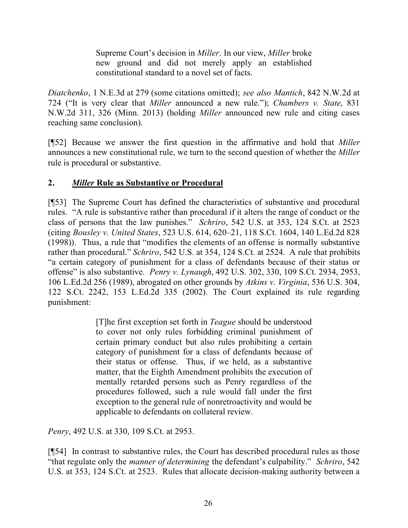Supreme Court's decision in *Miller*. In our view, *Miller* broke new ground and did not merely apply an established constitutional standard to a novel set of facts.

*Diatchenko*, 1 N.E.3d at 279 (some citations omitted); *see also Mantich*, 842 N.W.2d at 724 ("It is very clear that *Miller* announced a new rule."); *Chambers v. State*, 831 N.W.2d 311, 326 (Minn. 2013) (holding *Miller* announced new rule and citing cases reaching same conclusion).

[¶52] Because we answer the first question in the affirmative and hold that *Miller* announces a new constitutional rule, we turn to the second question of whether the *Miller* rule is procedural or substantive.

# **2.** *Miller* **Rule as Substantive or Procedural**

[¶53] The Supreme Court has defined the characteristics of substantive and procedural rules. "A rule is substantive rather than procedural if it alters the range of conduct or the class of persons that the law punishes." *Schriro*, 542 U.S. at 353, 124 S.Ct. at 2523 (citing *Bousley v. United States*, 523 U.S. 614, 620–21, 118 S.Ct. 1604, 140 L.Ed.2d 828 (1998)). Thus, a rule that "modifies the elements of an offense is normally substantive rather than procedural." *Schriro*, 542 U.S. at 354, 124 S.Ct. at 2524. A rule that prohibits "a certain category of punishment for a class of defendants because of their status or offense" is also substantive. *Penry v. Lynaugh*, 492 U.S. 302, 330, 109 S.Ct. 2934, 2953, 106 L.Ed.2d 256 (1989), abrogated on other grounds by *Atkins v. Virginia*, 536 U.S. 304, 122 S.Ct. 2242, 153 L.Ed.2d 335 (2002). The Court explained its rule regarding punishment:

> [T]he first exception set forth in *Teague* should be understood to cover not only rules forbidding criminal punishment of certain primary conduct but also rules prohibiting a certain category of punishment for a class of defendants because of their status or offense. Thus, if we held, as a substantive matter, that the Eighth Amendment prohibits the execution of mentally retarded persons such as Penry regardless of the procedures followed, such a rule would fall under the first exception to the general rule of nonretroactivity and would be applicable to defendants on collateral review.

*Penry*, 492 U.S. at 330, 109 S.Ct. at 2953.

[¶54] In contrast to substantive rules, the Court has described procedural rules as those "that regulate only the *manner of determining* the defendant's culpability." *Schriro*, 542 U.S. at 353, 124 S.Ct. at 2523. Rules that allocate decision-making authority between a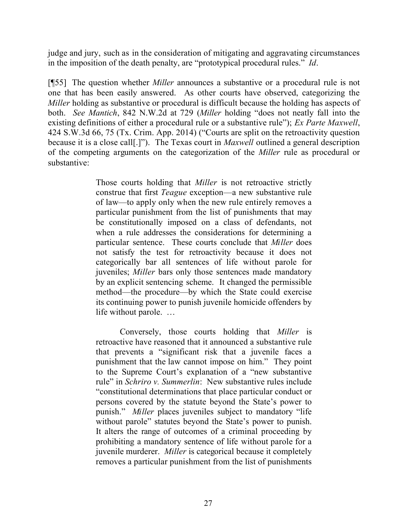judge and jury, such as in the consideration of mitigating and aggravating circumstances in the imposition of the death penalty, are "prototypical procedural rules." *Id*.

[¶55] The question whether *Miller* announces a substantive or a procedural rule is not one that has been easily answered. As other courts have observed, categorizing the *Miller* holding as substantive or procedural is difficult because the holding has aspects of both. *See Mantich*, 842 N.W.2d at 729 (*Miller* holding "does not neatly fall into the existing definitions of either a procedural rule or a substantive rule"); *Ex Parte Maxwell*, 424 S.W.3d 66, 75 (Tx. Crim. App. 2014) ("Courts are split on the retroactivity question because it is a close call[.]"). The Texas court in *Maxwell* outlined a general description of the competing arguments on the categorization of the *Miller* rule as procedural or substantive:

> Those courts holding that *Miller* is not retroactive strictly construe that first *Teague* exception—a new substantive rule of law—to apply only when the new rule entirely removes a particular punishment from the list of punishments that may be constitutionally imposed on a class of defendants, not when a rule addresses the considerations for determining a particular sentence. These courts conclude that *Miller* does not satisfy the test for retroactivity because it does not categorically bar all sentences of life without parole for juveniles; *Miller* bars only those sentences made mandatory by an explicit sentencing scheme. It changed the permissible method—the procedure—by which the State could exercise its continuing power to punish juvenile homicide offenders by life without parole. …

> Conversely, those courts holding that *Miller* is retroactive have reasoned that it announced a substantive rule that prevents a "significant risk that a juvenile faces a punishment that the law cannot impose on him." They point to the Supreme Court's explanation of a "new substantive rule" in *Schriro v. Summerlin*: New substantive rules include "constitutional determinations that place particular conduct or persons covered by the statute beyond the State's power to punish." *Miller* places juveniles subject to mandatory "life without parole" statutes beyond the State's power to punish. It alters the range of outcomes of a criminal proceeding by prohibiting a mandatory sentence of life without parole for a juvenile murderer. *Miller* is categorical because it completely removes a particular punishment from the list of punishments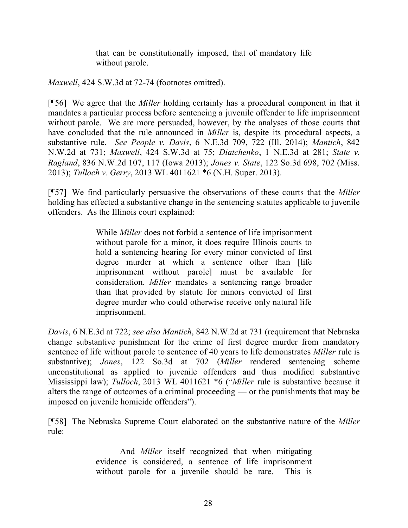that can be constitutionally imposed, that of mandatory life without parole.

*Maxwell*, 424 S.W.3d at 72-74 (footnotes omitted).

[¶56] We agree that the *Miller* holding certainly has a procedural component in that it mandates a particular process before sentencing a juvenile offender to life imprisonment without parole. We are more persuaded, however, by the analyses of those courts that have concluded that the rule announced in *Miller* is, despite its procedural aspects, a substantive rule. *See People v. Davis*, 6 N.E.3d 709, 722 (Ill. 2014); *Mantich*, 842 N.W.2d at 731; *Maxwell*, 424 S.W.3d at 75; *Diatchenko*, 1 N.E.3d at 281; *State v. Ragland*, 836 N.W.2d 107, 117 (Iowa 2013); *Jones v. State*, 122 So.3d 698, 702 (Miss. 2013); *Tulloch v. Gerry*, 2013 WL 4011621 \*6 (N.H. Super. 2013).

[¶57] We find particularly persuasive the observations of these courts that the *Miller* holding has effected a substantive change in the sentencing statutes applicable to juvenile offenders. As the Illinois court explained:

> While *Miller* does not forbid a sentence of life imprisonment without parole for a minor, it does require Illinois courts to hold a sentencing hearing for every minor convicted of first degree murder at which a sentence other than [life] imprisonment without parole] must be available for consideration. *Miller* mandates a sentencing range broader than that provided by statute for minors convicted of first degree murder who could otherwise receive only natural life imprisonment.

*Davis*, 6 N.E.3d at 722; *see also Mantich*, 842 N.W.2d at 731 (requirement that Nebraska change substantive punishment for the crime of first degree murder from mandatory sentence of life without parole to sentence of 40 years to life demonstrates *Miller* rule is substantive); *Jones*, 122 So.3d at 702 (*Miller* rendered sentencing scheme unconstitutional as applied to juvenile offenders and thus modified substantive Mississippi law); *Tulloch*, 2013 WL 4011621 \*6 ("*Miller* rule is substantive because it alters the range of outcomes of a criminal proceeding — or the punishments that may be imposed on juvenile homicide offenders").

[¶58] The Nebraska Supreme Court elaborated on the substantive nature of the *Miller* rule:

> And *Miller* itself recognized that when mitigating evidence is considered, a sentence of life imprisonment without parole for a juvenile should be rare. This is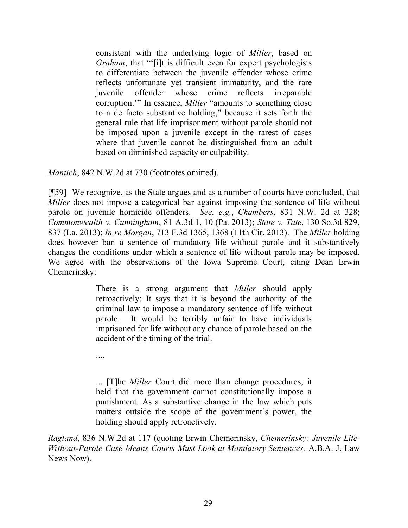consistent with the underlying logic of *Miller*, based on *Graham*, that "'[i]t is difficult even for expert psychologists to differentiate between the juvenile offender whose crime reflects unfortunate yet transient immaturity, and the rare juvenile offender whose crime reflects irreparable corruption.'" In essence, *Miller* "amounts to something close to a de facto substantive holding," because it sets forth the general rule that life imprisonment without parole should not be imposed upon a juvenile except in the rarest of cases where that juvenile cannot be distinguished from an adult based on diminished capacity or culpability.

*Mantich*, 842 N.W.2d at 730 (footnotes omitted).

[¶59] We recognize, as the State argues and as a number of courts have concluded, that *Miller* does not impose a categorical bar against imposing the sentence of life without parole on juvenile homicide offenders. *See*, *e.g.*, *Chambers*, 831 N.W. 2d at 328; *Commonwealth v. Cunningham*, 81 A.3d 1, 10 (Pa. 2013); *State v. Tate*, 130 So.3d 829, 837 (La. 2013); *In re Morgan*, 713 F.3d 1365, 1368 (11th Cir. 2013). The *Miller* holding does however ban a sentence of mandatory life without parole and it substantively changes the conditions under which a sentence of life without parole may be imposed. We agree with the observations of the Iowa Supreme Court, citing Dean Erwin Chemerinsky:

> There is a strong argument that *Miller* should apply retroactively: It says that it is beyond the authority of the criminal law to impose a mandatory sentence of life without parole. It would be terribly unfair to have individuals imprisoned for life without any chance of parole based on the accident of the timing of the trial.

....

... [T]he *Miller* Court did more than change procedures; it held that the government cannot constitutionally impose a punishment. As a substantive change in the law which puts matters outside the scope of the government's power, the holding should apply retroactively.

*Ragland*, 836 N.W.2d at 117 (quoting Erwin Chemerinsky, *Chemerinsky: Juvenile Life-Without-Parole Case Means Courts Must Look at Mandatory Sentences,* A.B.A. J. Law News Now).